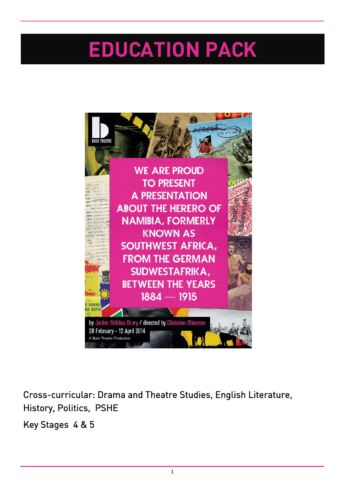# **EDUCATION PACK**



Cross-curricular: Drama and Theatre Studies, English Literature, History, Politics, PSHE

Key Stages 4 & 5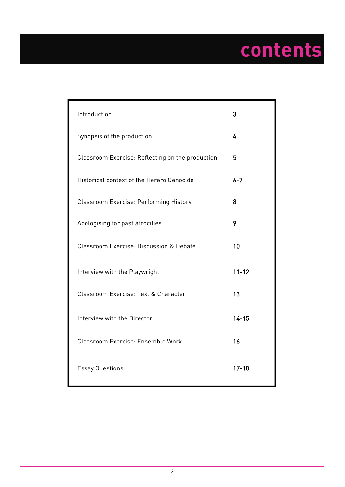# **contents**

| Introduction                                     | 3         |
|--------------------------------------------------|-----------|
| Synopsis of the production                       | 4         |
| Classroom Exercise: Reflecting on the production | 5         |
| Historical context of the Herero Genocide        | $6 - 7$   |
| Classroom Exercise: Performing History           | 8         |
| Apologising for past atrocities                  | 9         |
| Classroom Exercise: Discussion & Debate          | 10        |
| Interview with the Playwright                    | $11 - 12$ |
| Classroom Exercise: Text & Character             | 13        |
| Interview with the Director                      | $14 - 15$ |
| Classroom Exercise: Ensemble Work                | 16        |
| <b>Essay Questions</b>                           | $17 - 18$ |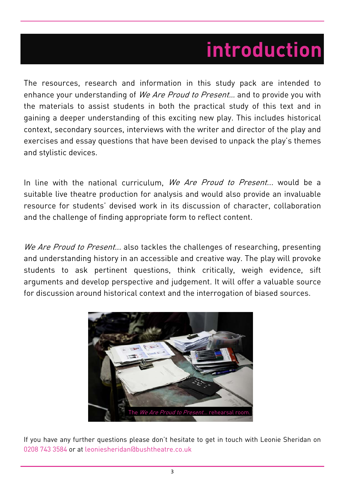# **introduction**

The resources, research and information in this study pack are intended to enhance your understanding of We Are Proud to Present... and to provide you with the materials to assist students in both the practical study of this text and in gaining a deeper understanding of this exciting new play. This includes historical context, secondary sources, interviews with the writer and director of the play and exercises and essay questions that have been devised to unpack the play's themes and stylistic devices.

In line with the national curriculum, We Are Proud to Present... would be a suitable live theatre production for analysis and would also provide an invaluable resource for students' devised work in its discussion of character, collaboration and the challenge of finding appropriate form to reflect content.

We Are Proud to Present... also tackles the challenges of researching, presenting and understanding history in an accessible and creative way. The play will provoke students to ask pertinent questions, think critically, weigh evidence, sift arguments and develop perspective and judgement. It will offer a valuable source for discussion around historical context and the interrogation of biased sources.



If you have any further questions please don't hesitate to get in touch with Leonie Sheridan on 0208 743 3584 or at leoniesheridan@bushtheatre.co.uk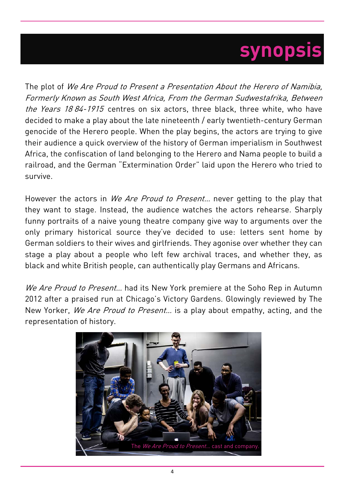## **synopsis**

The plot of We Are Proud to Present a Presentation About the Herero of Namibia, Formerly Known as South West Africa, From the German Sudwestafrika, Between the Years 18 84-1915 centres on six actors, three black, three white, who have decided to make a play about the late nineteenth / early twentieth-century German genocide of the Herero people. When the play begins, the actors are trying to give their audience a quick overview of the history of German imperialism in Southwest Africa, the confiscation of land belonging to the Herero and Nama people to build a railroad, and the German "Extermination Order" laid upon the Herero who tried to survive.

However the actors in We Are Proud to Present... never getting to the play that they want to stage. Instead, the audience watches the actors rehearse. Sharply funny portraits of a naive young theatre company give way to arguments over the only primary historical source they've decided to use: letters sent home by German soldiers to their wives and girlfriends. They agonise over whether they can stage a play about a people who left few archival traces, and whether they, as black and white British people, can authentically play Germans and Africans.

We Are Proud to Present... had its New York premiere at the Soho Rep in Autumn 2012 after a praised run at Chicago's Victory Gardens. Glowingly reviewed by The New Yorker, We Are Proud to Present... is a play about empathy, acting, and the representation of history.

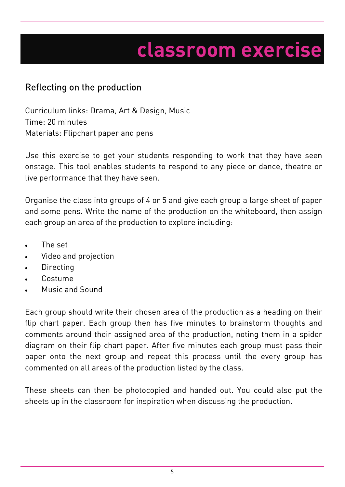## Reflecting on the production

Curriculum links: Drama, Art & Design, Music Time: 20 minutes Materials: Flipchart paper and pens

Use this exercise to get your students responding to work that they have seen onstage. This tool enables students to respond to any piece or dance, theatre or live performance that they have seen.

Organise the class into groups of 4 or 5 and give each group a large sheet of paper and some pens. Write the name of the production on the whiteboard, then assign each group an area of the production to explore including:

- The set
- Video and projection
- **Directing**
- Costume
- Music and Sound

Each group should write their chosen area of the production as a heading on their flip chart paper. Each group then has five minutes to brainstorm thoughts and comments around their assigned area of the production, noting them in a spider diagram on their flip chart paper. After five minutes each group must pass their paper onto the next group and repeat this process until the every group has commented on all areas of the production listed by the class.

These sheets can then be photocopied and handed out. You could also put the sheets up in the classroom for inspiration when discussing the production.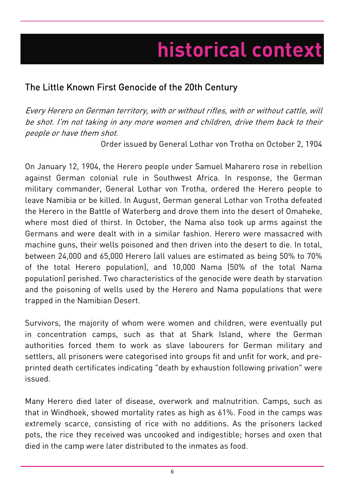# **historical context**

## The Little Known First Genocide of the 20th Century

Every Herero on German territory, with or without rifles, with or without cattle, will be shot. I'm not taking in any more women and children, drive them back to their people or have them shot.

Order issued by General Lothar von Trotha on October 2, 1904

On January 12, 1904, the Herero people under Samuel Maharero rose in rebellion against German colonial rule in Southwest Africa. In response, the German military commander, General Lothar von Trotha, ordered the Herero people to leave Namibia or be killed. In August, German general Lothar von Trotha defeated the Herero in the Battle of Waterberg and drove them into the desert of Omaheke, where most died of thirst. In October, the Nama also took up arms against the Germans and were dealt with in a similar fashion. Herero were massacred with machine guns, their wells poisoned and then driven into the desert to die. In total, between 24,000 and 65,000 Herero (all values are estimated as being 50% to 70% of the total Herero population), and 10,000 Nama (50% of the total Nama population) perished. Two characteristics of the genocide were death by starvation and the poisoning of wells used by the Herero and Nama populations that were trapped in the Namibian Desert.

Survivors, the majority of whom were women and children, were eventually put in concentration camps, such as that at Shark Island, where the German authorities forced them to work as slave labourers for German military and settlers, all prisoners were categorised into groups fit and unfit for work, and preprinted death certificates indicating "death by exhaustion following privation" were issued.

Many Herero died later of disease, overwork and malnutrition. Camps, such as that in Windhoek, showed mortality rates as high as 61%. Food in the camps was extremely scarce, consisting of rice with no additions. As the prisoners lacked pots, the rice they received was uncooked and indigestible; horses and oxen that died in the camp were later distributed to the inmates as food.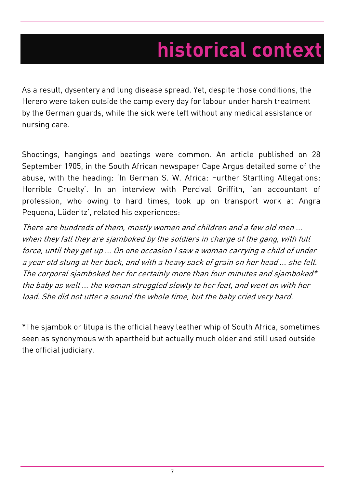# **historical context**

As a result, dysentery and lung disease spread. Yet, despite those conditions, the Herero were taken outside the camp every day for labour under harsh treatment by the German guards, while the sick were left without any medical assistance or nursing care.

Shootings, hangings and beatings were common. An article published on 28 September 1905, in the South African newspaper Cape Argus detailed some of the abuse, with the heading: 'In German S. W. Africa: Further Startling Allegations: Horrible Cruelty'. In an interview with Percival Griffith, 'an accountant of profession, who owing to hard times, took up on transport work at Angra Pequena, Lüderitz', related his experiences:

There are hundreds of them, mostly women and children and a few old men ... when they fall they are sjamboked by the soldiers in charge of the gang, with full force, until they get up ... On one occasion I saw a woman carrying a child of under a year old slung at her back, and with a heavy sack of grain on her head ... she fell. The corporal sjamboked her for certainly more than four minutes and sjamboked\* the baby as well ... the woman struggled slowly to her feet, and went on with her load. She did not utter a sound the whole time, but the baby cried very hard.

\*The sjambok or litupa is the official heavy leather whip of South Africa, sometimes seen as synonymous with apartheid but actually much older and still used outside the official judiciary.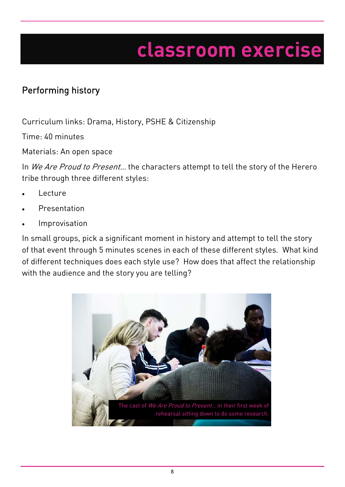## Performing history

Curriculum links: Drama, History, PSHE & Citizenship

Time: 40 minutes

Materials: An open space

In We Are Proud to Present... the characters attempt to tell the story of the Herero tribe through three different styles:

- Lecture
- Presentation
- Improvisation

In small groups, pick a significant moment in history and attempt to tell the story of that event through 5 minutes scenes in each of these different styles. What kind of different techniques does each style use? How does that affect the relationship with the audience and the story you are telling?

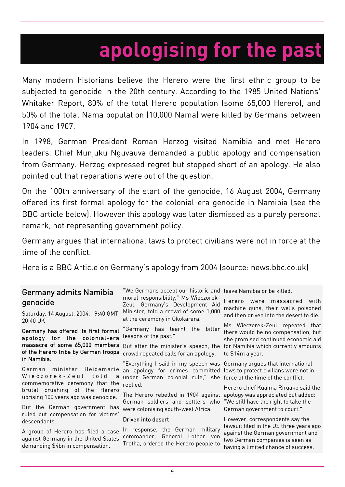# **apologising for the past**

Many modern historians believe the Herero were the first ethnic group to be subjected to genocide in the 20th century. According to the 1985 United Nations' Whitaker Report, 80% of the total Herero population (some 65,000 Herero), and 50% of the total Nama population (10,000 Nama) were killed by Germans between 1904 and 1907.

In 1998, German President Roman Herzog visited Namibia and met Herero leaders. Chief Munjuku Nguvauva demanded a public apology and compensation from Germany. Herzog expressed regret but stopped short of an apology. He also pointed out that reparations were out of the question.

On the 100th anniversary of the start of the genocide, 16 August 2004, Germany offered its first formal apology for the colonial-era genocide in Namibia (see the BBC article below). However this apology was later dismissed as a purely personal remark, not representing government policy.

Germany argues that international laws to protect civilians were not in force at the time of the conflict.

Here is a BBC Article on Germany's apology from 2004 (source: news.bbc.co.uk)

### Germany admits Namibia genocide

Saturday, 14 August, 2004, 19:40 GMT 20:40 UK

#### Germany has offered its first formal apology for the colonial-era massacre of some 65,000 members of the Herero tribe by German troops  $\,$   $_{\rm{crowd}}$  repeated calls for an apology. in Namibia.

German minister Heidemarie Wieczorek-Zeul told a commemorative ceremony that the brutal crushing of the Herero uprising 100 years ago was genocide.

But the German government has ruled out compensation for victims' descendants.

A group of Herero has filed a case against Germany in the United States demanding \$4bn in compensation.

"We Germans accept our historic and leave Namibia or be killed. moral responsibility," Ms Wieczorek-Zeul, Germany's Development Aid Minister, told a crowd of some 1,000 at the ceremony in Okokarara.

"Germany has learnt the bitter lessons of the past."

"Everything I said in my speech was Germany argues that international an apology for crimes committed laws to protect civilians were not in under German colonial rule," she force at the time of the conflict. replied.

The Herero rebelled in 1904 against apology was appreciated but added: German soldiers and settlers who were colonising south-west Africa.

#### Driven into desert

In response, the German military commander, General Lothar von Trotha, ordered the Herero people to

Herero were massacred with machine guns, their wells poisoned and then driven into the desert to die.

But after the minister's speech, the for Namibia which currently amounts Ms Wieczorek-Zeul repeated that there would be no compensation, but she promised continued economic aid to \$14m a year.

Herero chief Kuaima Riruako said the "We still have the right to take the German government to court."

However, correspondents say the lawsuit filed in the US three years ago against the German government and two German companies is seen as having a limited chance of success.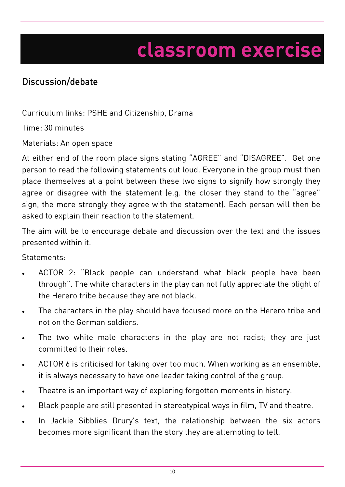## Discussion/debate

Curriculum links: PSHE and Citizenship, Drama

Time: 30 minutes

Materials: An open space

At either end of the room place signs stating "AGREE" and "DISAGREE". Get one person to read the following statements out loud. Everyone in the group must then place themselves at a point between these two signs to signify how strongly they agree or disagree with the statement (e.g. the closer they stand to the "agree" sign, the more strongly they agree with the statement). Each person will then be asked to explain their reaction to the statement.

The aim will be to encourage debate and discussion over the text and the issues presented within it.

Statements:

- ACTOR 2: "Black people can understand what black people have been through". The white characters in the play can not fully appreciate the plight of the Herero tribe because they are not black.
- The characters in the play should have focused more on the Herero tribe and not on the German soldiers.
- The two white male characters in the play are not racist; they are just committed to their roles.
- ACTOR 6 is criticised for taking over too much. When working as an ensemble, it is always necessary to have one leader taking control of the group.
- Theatre is an important way of exploring forgotten moments in history.
- Black people are still presented in stereotypical ways in film, TV and theatre.
- In Jackie Sibblies Drury's text, the relationship between the six actors becomes more significant than the story they are attempting to tell.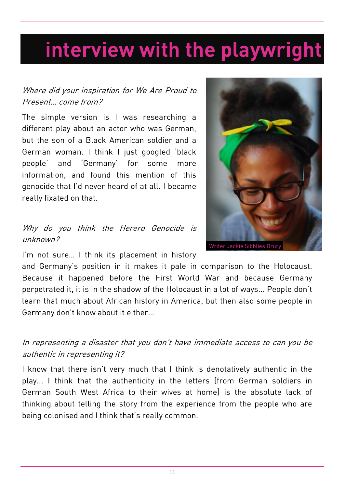# **interview with the playwright**

### Where did your inspiration for We Are Proud to Present… come from?

The simple version is I was researching a different play about an actor who was German, but the son of a Black American soldier and a German woman. I think I just googled 'black people' and 'Germany' for some more information, and found this mention of this genocide that I'd never heard of at all. I became really fixated on that.

### Why do you think the Herero Genocide is unknown?



I'm not sure... I think its placement in history

and Germany's position in it makes it pale in comparison to the Holocaust. Because it happened before the First World War and because Germany perpetrated it, it is in the shadow of the Holocaust in a lot of ways... People don't learn that much about African history in America, but then also some people in Germany don't know about it either…

In representing a disaster that you don't have immediate access to can you be authentic in representing it?

I know that there isn't very much that I think is denotatively authentic in the play... I think that the authenticity in the letters [from German soldiers in German South West Africa to their wives at home] is the absolute lack of thinking about telling the story from the experience from the people who are being colonised and I think that's really common.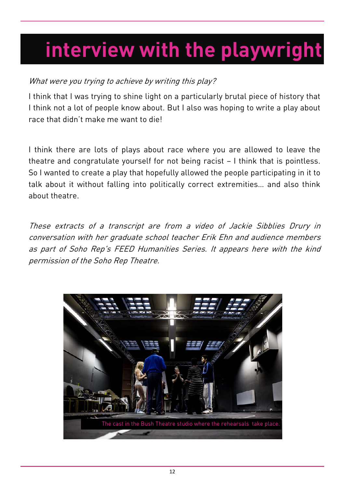# **interview with the playwright**

### What were you trying to achieve by writing this play?

I think that I was trying to shine light on a particularly brutal piece of history that I think not a lot of people know about. But I also was hoping to write a play about race that didn't make me want to die!

I think there are lots of plays about race where you are allowed to leave the theatre and congratulate yourself for not being racist – I think that is pointless. So I wanted to create a play that hopefully allowed the people participating in it to talk about it without falling into politically correct extremities… and also think about theatre.

These extracts of a transcript are from a video of Jackie Sibblies Drury in conversation with her graduate school teacher Erik Ehn and audience members as part of Soho Rep's FEED Humanities Series. It appears here with the kind permission of the Soho Rep Theatre.

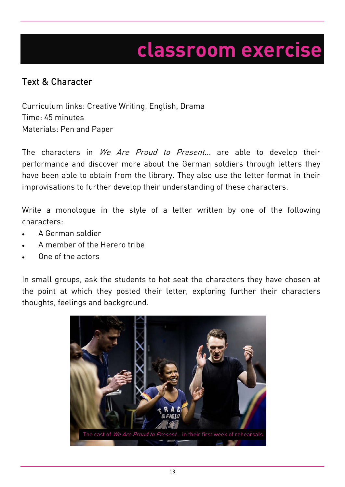### Text & Character

Curriculum links: Creative Writing, English, Drama Time: 45 minutes Materials: Pen and Paper

The characters in We Are Proud to Present... are able to develop their performance and discover more about the German soldiers through letters they have been able to obtain from the library. They also use the letter format in their improvisations to further develop their understanding of these characters.

Write a monologue in the style of a letter written by one of the following characters:

- A German soldier
- A member of the Herero tribe
- One of the actors

In small groups, ask the students to hot seat the characters they have chosen at the point at which they posted their letter, exploring further their characters thoughts, feelings and background.

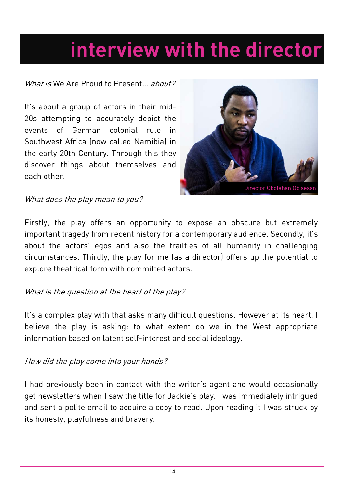## **interview with the director**

### What is We Are Proud to Present... about?

It's about a group of actors in their mid-20s attempting to accurately depict the events of German colonial rule in Southwest Africa (now called Namibia) in the early 20th Century. Through this they discover things about themselves and each other.



### What does the play mean to you?

Firstly, the play offers an opportunity to expose an obscure but extremely important tragedy from recent history for a contemporary audience. Secondly, it's about the actors' egos and also the frailties of all humanity in challenging circumstances. Thirdly, the play for me (as a director) offers up the potential to explore theatrical form with committed actors.

### What is the question at the heart of the play?

It's a complex play with that asks many difficult questions. However at its heart, I believe the play is asking: to what extent do we in the West appropriate information based on latent self-interest and social ideology.

### How did the play come into your hands?

I had previously been in contact with the writer's agent and would occasionally get newsletters when I saw the title for Jackie's play. I was immediately intrigued and sent a polite email to acquire a copy to read. Upon reading it I was struck by its honesty, playfulness and bravery.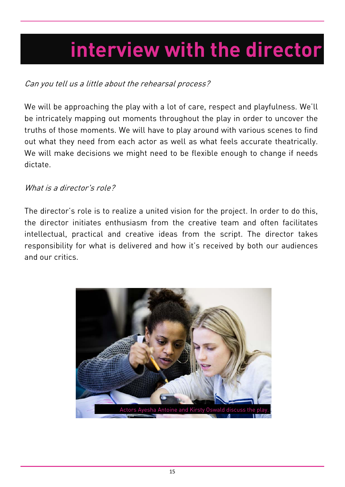# **interview with the director**

### Can you tell us a little about the rehearsal process?

We will be approaching the play with a lot of care, respect and playfulness. We'll be intricately mapping out moments throughout the play in order to uncover the truths of those moments. We will have to play around with various scenes to find out what they need from each actor as well as what feels accurate theatrically. We will make decisions we might need to be flexible enough to change if needs dictate.

### What is a director's role?

The director's role is to realize a united vision for the project. In order to do this, the director initiates enthusiasm from the creative team and often facilitates intellectual, practical and creative ideas from the script. The director takes responsibility for what is delivered and how it's received by both our audiences and our critics.

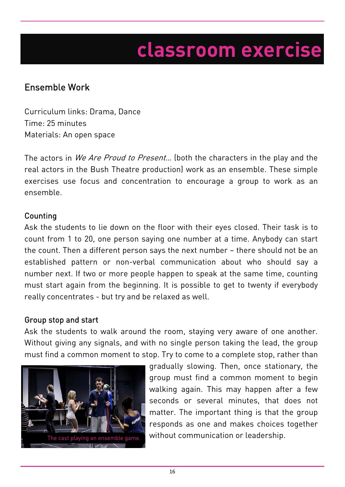### Ensemble Work

Curriculum links: Drama, Dance Time: 25 minutes Materials: An open space

The actors in We Are Proud to Present... (both the characters in the play and the real actors in the Bush Theatre production) work as an ensemble. These simple exercises use focus and concentration to encourage a group to work as an ensemble.

### **Counting**

Ask the students to lie down on the floor with their eyes closed. Their task is to count from 1 to 20, one person saying one number at a time. Anybody can start the count. Then a different person says the next number – there should not be an established pattern or non-verbal communication about who should say a number next. If two or more people happen to speak at the same time, counting must start again from the beginning. It is possible to get to twenty if everybody really concentrates - but try and be relaxed as well.

### Group stop and start

Ask the students to walk around the room, staying very aware of one another. Without giving any signals, and with no single person taking the lead, the group must find a common moment to stop. Try to come to a complete stop, rather than



gradually slowing. Then, once stationary, the group must find a common moment to begin walking again. This may happen after a few seconds or several minutes, that does not matter. The important thing is that the group responds as one and makes choices together The cast playing an ensemble game. Without communication or leadership.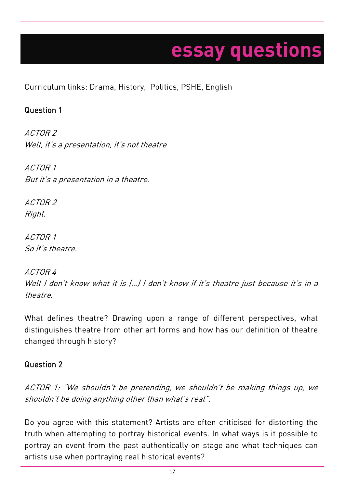# **essay questions**

Curriculum links: Drama, History, Politics, PSHE, English

### Question 1

ACTOR 2 Well, it's a presentation, it's not theatre

ACTOR 1 But it's a presentation in a theatre.

ACTOR 2 Right.

ACTOR 1 So it's theatre.

ACTOR 4 Well I don't know what it is (...) I don't know if it's theatre just because it's in a theatre.

What defines theatre? Drawing upon a range of different perspectives, what distinguishes theatre from other art forms and how has our definition of theatre changed through history?

### Question 2

ACTOR 1: "We shouldn't be pretending, we shouldn't be making things up, we shouldn't be doing anything other than what's real".

Do you agree with this statement? Artists are often criticised for distorting the truth when attempting to portray historical events. In what ways is it possible to portray an event from the past authentically on stage and what techniques can artists use when portraying real historical events?